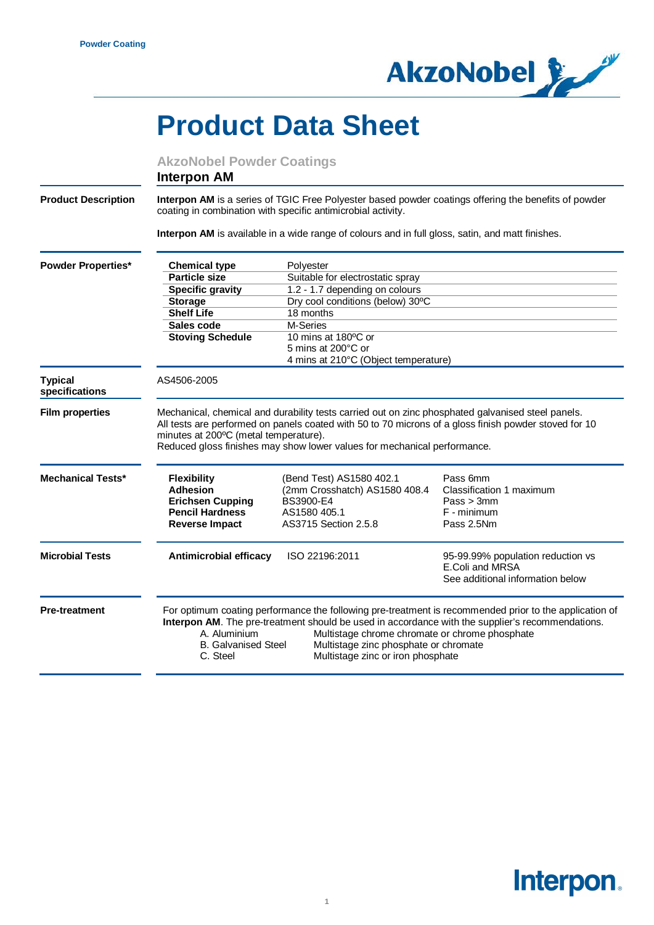

## **Product Data Sheet**

|                                  | <b>AkzoNobel Powder Coatings</b><br><b>Interpon AM</b>                                                                                                                                                                                                                                                                                                                                               |                                                                                                                |                                                                                          |  |
|----------------------------------|------------------------------------------------------------------------------------------------------------------------------------------------------------------------------------------------------------------------------------------------------------------------------------------------------------------------------------------------------------------------------------------------------|----------------------------------------------------------------------------------------------------------------|------------------------------------------------------------------------------------------|--|
| <b>Product Description</b>       | Interpon AM is a series of TGIC Free Polyester based powder coatings offering the benefits of powder<br>coating in combination with specific antimicrobial activity.                                                                                                                                                                                                                                 |                                                                                                                |                                                                                          |  |
|                                  |                                                                                                                                                                                                                                                                                                                                                                                                      | Interpon AM is available in a wide range of colours and in full gloss, satin, and matt finishes.               |                                                                                          |  |
| <b>Powder Properties*</b>        | <b>Chemical type</b>                                                                                                                                                                                                                                                                                                                                                                                 | Polyester                                                                                                      |                                                                                          |  |
|                                  | <b>Particle size</b>                                                                                                                                                                                                                                                                                                                                                                                 | Suitable for electrostatic spray                                                                               |                                                                                          |  |
|                                  | <b>Specific gravity</b>                                                                                                                                                                                                                                                                                                                                                                              | 1.2 - 1.7 depending on colours                                                                                 |                                                                                          |  |
|                                  | <b>Storage</b>                                                                                                                                                                                                                                                                                                                                                                                       | Dry cool conditions (below) 30°C                                                                               |                                                                                          |  |
|                                  | <b>Shelf Life</b>                                                                                                                                                                                                                                                                                                                                                                                    | 18 months                                                                                                      |                                                                                          |  |
|                                  | Sales code                                                                                                                                                                                                                                                                                                                                                                                           | M-Series                                                                                                       |                                                                                          |  |
|                                  | <b>Stoving Schedule</b>                                                                                                                                                                                                                                                                                                                                                                              | 10 mins at 180°C or                                                                                            |                                                                                          |  |
|                                  |                                                                                                                                                                                                                                                                                                                                                                                                      | 5 mins at 200°C or                                                                                             |                                                                                          |  |
|                                  |                                                                                                                                                                                                                                                                                                                                                                                                      | 4 mins at 210°C (Object temperature)                                                                           |                                                                                          |  |
| <b>Typical</b><br>specifications | AS4506-2005                                                                                                                                                                                                                                                                                                                                                                                          |                                                                                                                |                                                                                          |  |
| <b>Film properties</b>           | Mechanical, chemical and durability tests carried out on zinc phosphated galvanised steel panels.<br>All tests are performed on panels coated with 50 to 70 microns of a gloss finish powder stoved for 10<br>minutes at 200°C (metal temperature).<br>Reduced gloss finishes may show lower values for mechanical performance.                                                                      |                                                                                                                |                                                                                          |  |
| <b>Mechanical Tests*</b>         | <b>Flexibility</b><br><b>Adhesion</b><br><b>Erichsen Cupping</b><br><b>Pencil Hardness</b><br><b>Reverse Impact</b>                                                                                                                                                                                                                                                                                  | (Bend Test) AS1580 402.1<br>(2mm Crosshatch) AS1580 408.4<br>BS3900-E4<br>AS1580 405.1<br>AS3715 Section 2.5.8 | Pass 6mm<br>Classification 1 maximum<br>Pass > 3mm<br>F - minimum<br>Pass 2.5Nm          |  |
| <b>Microbial Tests</b>           | <b>Antimicrobial efficacy</b>                                                                                                                                                                                                                                                                                                                                                                        | ISO 22196:2011                                                                                                 | 95-99.99% population reduction vs<br>E.Coli and MRSA<br>See additional information below |  |
| <b>Pre-treatment</b>             | For optimum coating performance the following pre-treatment is recommended prior to the application of<br>Interpon AM. The pre-treatment should be used in accordance with the supplier's recommendations.<br>Multistage chrome chromate or chrome phosphate<br>A. Aluminium<br>Multistage zinc phosphate or chromate<br><b>B.</b> Galvanised Steel<br>C. Steel<br>Multistage zinc or iron phosphate |                                                                                                                |                                                                                          |  |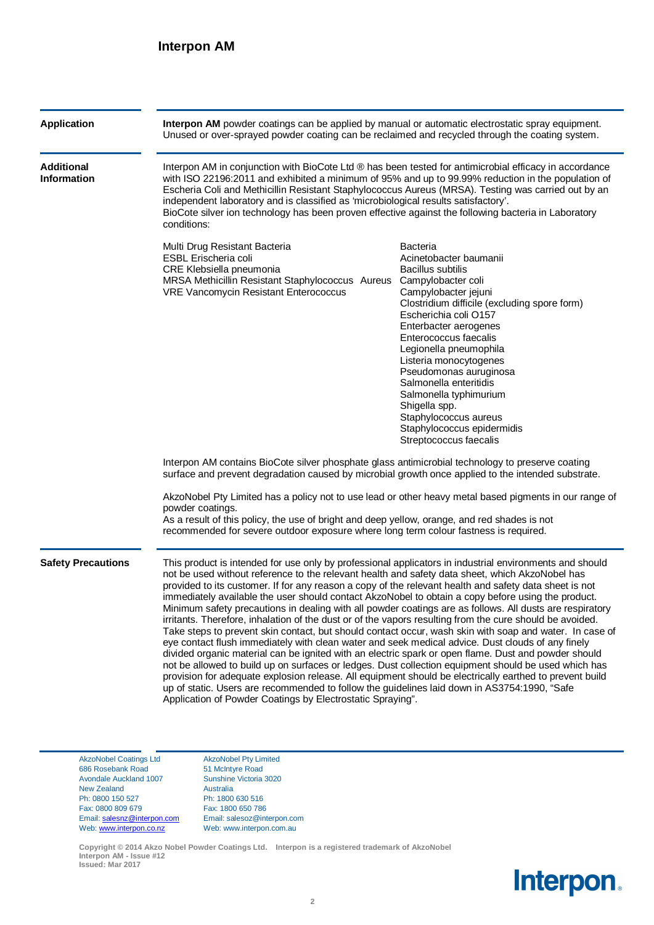| <b>Application</b>                      | Interpon AM powder coatings can be applied by manual or automatic electrostatic spray equipment.<br>Unused or over-sprayed powder coating can be reclaimed and recycled through the coating system.                                                                                                                                                                                                                                                                                                                                                                                                                                                                                                                                                                                                                                                                                                                                                                                                                                                                                                                                                                                                                                                                                                                                                         |                                                                                                                                                                                                                                                                                                                                                                                                                                                                                    |  |  |
|-----------------------------------------|-------------------------------------------------------------------------------------------------------------------------------------------------------------------------------------------------------------------------------------------------------------------------------------------------------------------------------------------------------------------------------------------------------------------------------------------------------------------------------------------------------------------------------------------------------------------------------------------------------------------------------------------------------------------------------------------------------------------------------------------------------------------------------------------------------------------------------------------------------------------------------------------------------------------------------------------------------------------------------------------------------------------------------------------------------------------------------------------------------------------------------------------------------------------------------------------------------------------------------------------------------------------------------------------------------------------------------------------------------------|------------------------------------------------------------------------------------------------------------------------------------------------------------------------------------------------------------------------------------------------------------------------------------------------------------------------------------------------------------------------------------------------------------------------------------------------------------------------------------|--|--|
| <b>Additional</b><br><b>Information</b> | Interpon AM in conjunction with BioCote Ltd ® has been tested for antimicrobial efficacy in accordance<br>with ISO 22196:2011 and exhibited a minimum of 95% and up to 99.99% reduction in the population of<br>Escheria Coli and Methicillin Resistant Staphylococcus Aureus (MRSA). Testing was carried out by an<br>independent laboratory and is classified as 'microbiological results satisfactory'.<br>BioCote silver ion technology has been proven effective against the following bacteria in Laboratory<br>conditions:                                                                                                                                                                                                                                                                                                                                                                                                                                                                                                                                                                                                                                                                                                                                                                                                                           |                                                                                                                                                                                                                                                                                                                                                                                                                                                                                    |  |  |
|                                         | Multi Drug Resistant Bacteria<br><b>ESBL Erischeria coli</b><br>CRE Klebsiella pneumonia<br>MRSA Methicillin Resistant Staphylococcus Aureus<br>VRE Vancomycin Resistant Enterococcus                                                                                                                                                                                                                                                                                                                                                                                                                                                                                                                                                                                                                                                                                                                                                                                                                                                                                                                                                                                                                                                                                                                                                                       | <b>Bacteria</b><br>Acinetobacter baumanii<br><b>Bacillus subtilis</b><br>Campylobacter coli<br>Campylobacter jejuni<br>Clostridium difficile (excluding spore form)<br>Escherichia coli O157<br>Enterbacter aerogenes<br>Enterococcus faecalis<br>Legionella pneumophila<br>Listeria monocytogenes<br>Pseudomonas auruginosa<br>Salmonella enteritidis<br>Salmonella typhimurium<br>Shigella spp.<br>Staphylococcus aureus<br>Staphylococcus epidermidis<br>Streptococcus faecalis |  |  |
|                                         | Interpon AM contains BioCote silver phosphate glass antimicrobial technology to preserve coating<br>surface and prevent degradation caused by microbial growth once applied to the intended substrate.<br>AkzoNobel Pty Limited has a policy not to use lead or other heavy metal based pigments in our range of                                                                                                                                                                                                                                                                                                                                                                                                                                                                                                                                                                                                                                                                                                                                                                                                                                                                                                                                                                                                                                            |                                                                                                                                                                                                                                                                                                                                                                                                                                                                                    |  |  |
|                                         | powder coatings.<br>As a result of this policy, the use of bright and deep yellow, orange, and red shades is not<br>recommended for severe outdoor exposure where long term colour fastness is required.                                                                                                                                                                                                                                                                                                                                                                                                                                                                                                                                                                                                                                                                                                                                                                                                                                                                                                                                                                                                                                                                                                                                                    |                                                                                                                                                                                                                                                                                                                                                                                                                                                                                    |  |  |
| <b>Safety Precautions</b>               | This product is intended for use only by professional applicators in industrial environments and should<br>not be used without reference to the relevant health and safety data sheet, which AkzoNobel has<br>provided to its customer. If for any reason a copy of the relevant health and safety data sheet is not<br>immediately available the user should contact AkzoNobel to obtain a copy before using the product.<br>Minimum safety precautions in dealing with all powder coatings are as follows. All dusts are respiratory<br>irritants. Therefore, inhalation of the dust or of the vapors resulting from the cure should be avoided.<br>Take steps to prevent skin contact, but should contact occur, wash skin with soap and water. In case of<br>eye contact flush immediately with clean water and seek medical advice. Dust clouds of any finely<br>divided organic material can be ignited with an electric spark or open flame. Dust and powder should<br>not be allowed to build up on surfaces or ledges. Dust collection equipment should be used which has<br>provision for adequate explosion release. All equipment should be electrically earthed to prevent build<br>up of static. Users are recommended to follow the guidelines laid down in AS3754:1990, "Safe<br>Application of Powder Coatings by Electrostatic Spraying". |                                                                                                                                                                                                                                                                                                                                                                                                                                                                                    |  |  |

AkzoNobel Coatings Ltd AkzoNobel Pty Limited<br>686 Rosebank Road 51 McIntyre Road 686 Rosebank Road Avondale Auckland 1007 Sunshine Victoria 3020 New Zealand Australia<br>
Ph: 0800 150 527 Ph: 1800 Ph: 0800 150 527 Ph: 1800 630 516<br>Fax: 0800 809 679 Fax: 1800 650 786 Email: [salesnz@interpon.com](mailto:salesnz@interpon.com) Email: salesoz@interpon.com

Fax: 1800 650 786<br>Email: salesoz@interpon.com Web: [www.interpon.co.nz](http://www.interpon.co.nz/) Web: www.interpon.com.au

**Copyright © 2014 Akzo Nobel Powder Coatings Ltd. Interpon is a registered trademark of AkzoNobel Interpon AM - Issue #12 Issued: Mar 2017**

**Interpon.**